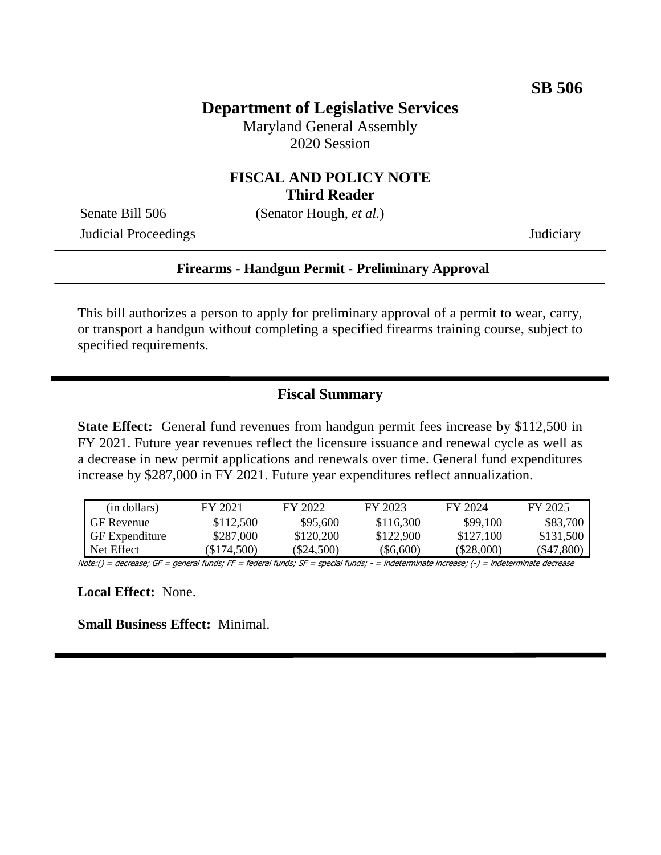## **Department of Legislative Services**

Maryland General Assembly 2020 Session

#### **FISCAL AND POLICY NOTE Third Reader**

Judicial Proceedings Judiciary

Senate Bill 506 (Senator Hough, *et al.*)

**Firearms - Handgun Permit - Preliminary Approval**

This bill authorizes a person to apply for preliminary approval of a permit to wear, carry, or transport a handgun without completing a specified firearms training course, subject to specified requirements.

#### **Fiscal Summary**

**State Effect:** General fund revenues from handgun permit fees increase by \$112,500 in FY 2021. Future year revenues reflect the licensure issuance and renewal cycle as well as a decrease in new permit applications and renewals over time. General fund expenditures increase by \$287,000 in FY 2021. Future year expenditures reflect annualization.

| (in dollars)          | FY 2021   | FY 2022      | FY 2023     | FY 2024      | FY 2025    |
|-----------------------|-----------|--------------|-------------|--------------|------------|
| <b>GF</b> Revenue     | \$112,500 | \$95,600     | \$116,300   | \$99,100     | \$83,700   |
| <b>GF</b> Expenditure | \$287,000 | \$120,200    | \$122,900   | \$127,100    | \$131.500  |
| Net Effect            | \$174,500 | $(\$24,500)$ | $(\$6,600)$ | $(\$28,000)$ | (\$47,800) |

Note:() = decrease; GF = general funds; FF = federal funds; SF = special funds; - = indeterminate increase; (-) = indeterminate decrease

**Local Effect:** None.

**Small Business Effect:** Minimal.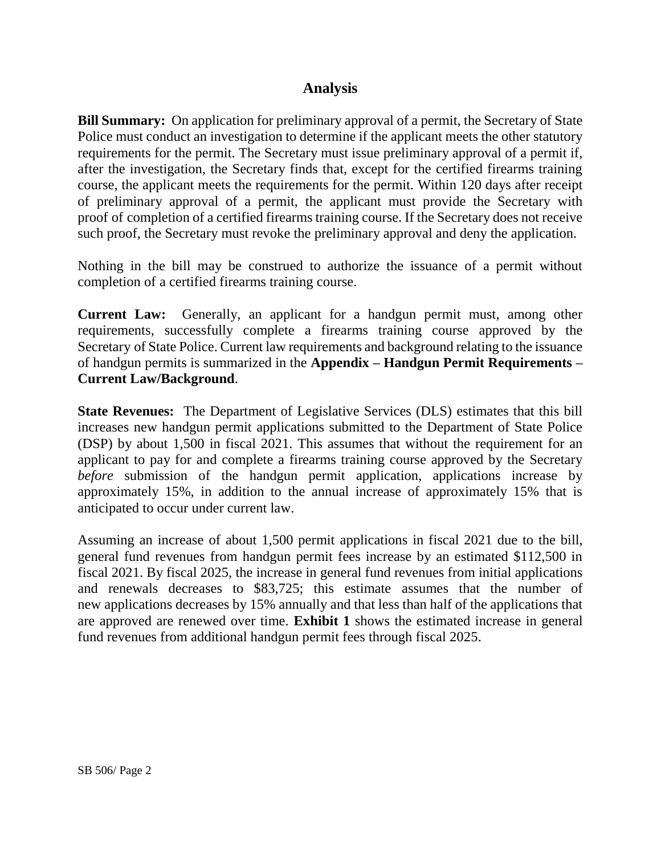#### **Analysis**

**Bill Summary:** On application for preliminary approval of a permit, the Secretary of State Police must conduct an investigation to determine if the applicant meets the other statutory requirements for the permit. The Secretary must issue preliminary approval of a permit if, after the investigation, the Secretary finds that, except for the certified firearms training course, the applicant meets the requirements for the permit. Within 120 days after receipt of preliminary approval of a permit, the applicant must provide the Secretary with proof of completion of a certified firearms training course. If the Secretary does not receive such proof, the Secretary must revoke the preliminary approval and deny the application.

Nothing in the bill may be construed to authorize the issuance of a permit without completion of a certified firearms training course.

**Current Law:** Generally, an applicant for a handgun permit must, among other requirements, successfully complete a firearms training course approved by the Secretary of State Police. Current law requirements and background relating to the issuance of handgun permits is summarized in the **Appendix – Handgun Permit Requirements – Current Law/Background**.

**State Revenues:** The Department of Legislative Services (DLS) estimates that this bill increases new handgun permit applications submitted to the Department of State Police (DSP) by about 1,500 in fiscal 2021. This assumes that without the requirement for an applicant to pay for and complete a firearms training course approved by the Secretary *before* submission of the handgun permit application, applications increase by approximately 15%, in addition to the annual increase of approximately 15% that is anticipated to occur under current law.

Assuming an increase of about 1,500 permit applications in fiscal 2021 due to the bill, general fund revenues from handgun permit fees increase by an estimated \$112,500 in fiscal 2021. By fiscal 2025, the increase in general fund revenues from initial applications and renewals decreases to \$83,725; this estimate assumes that the number of new applications decreases by 15% annually and that less than half of the applications that are approved are renewed over time. **Exhibit 1** shows the estimated increase in general fund revenues from additional handgun permit fees through fiscal 2025.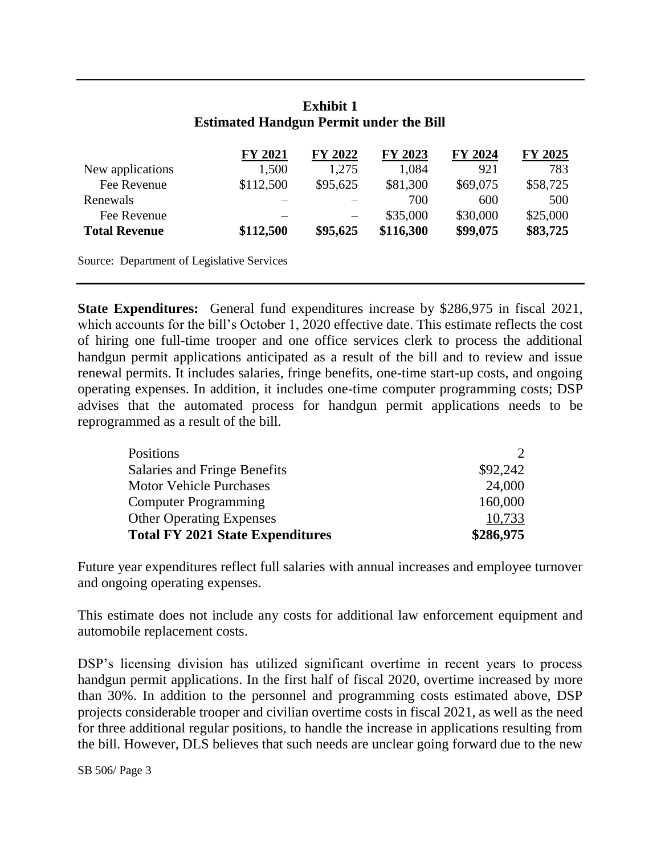| <b>FY 2021</b> | FY 2022  | FY 2023   | FY 2024  | FY 2025  |
|----------------|----------|-----------|----------|----------|
| 1,500          | 1,275    | 1,084     | 921      | 783      |
| \$112,500      | \$95,625 | \$81,300  | \$69,075 | \$58,725 |
|                |          | 700       | 600      | 500      |
|                |          | \$35,000  | \$30,000 | \$25,000 |
| \$112,500      | \$95,625 | \$116,300 | \$99,075 | \$83,725 |
|                |          |           |          |          |

#### **Exhibit 1 Estimated Handgun Permit under the Bill**

Source: Department of Legislative Services

**State Expenditures:** General fund expenditures increase by \$286,975 in fiscal 2021, which accounts for the bill's October 1, 2020 effective date. This estimate reflects the cost of hiring one full-time trooper and one office services clerk to process the additional handgun permit applications anticipated as a result of the bill and to review and issue renewal permits. It includes salaries, fringe benefits, one-time start-up costs, and ongoing operating expenses. In addition, it includes one-time computer programming costs; DSP advises that the automated process for handgun permit applications needs to be reprogrammed as a result of the bill.

| Positions                               |           |
|-----------------------------------------|-----------|
| Salaries and Fringe Benefits            | \$92,242  |
| <b>Motor Vehicle Purchases</b>          | 24,000    |
| <b>Computer Programming</b>             | 160,000   |
| <b>Other Operating Expenses</b>         | 10,733    |
| <b>Total FY 2021 State Expenditures</b> | \$286,975 |

Future year expenditures reflect full salaries with annual increases and employee turnover and ongoing operating expenses.

This estimate does not include any costs for additional law enforcement equipment and automobile replacement costs.

DSP's licensing division has utilized significant overtime in recent years to process handgun permit applications. In the first half of fiscal 2020, overtime increased by more than 30%. In addition to the personnel and programming costs estimated above, DSP projects considerable trooper and civilian overtime costs in fiscal 2021, as well as the need for three additional regular positions, to handle the increase in applications resulting from the bill. However, DLS believes that such needs are unclear going forward due to the new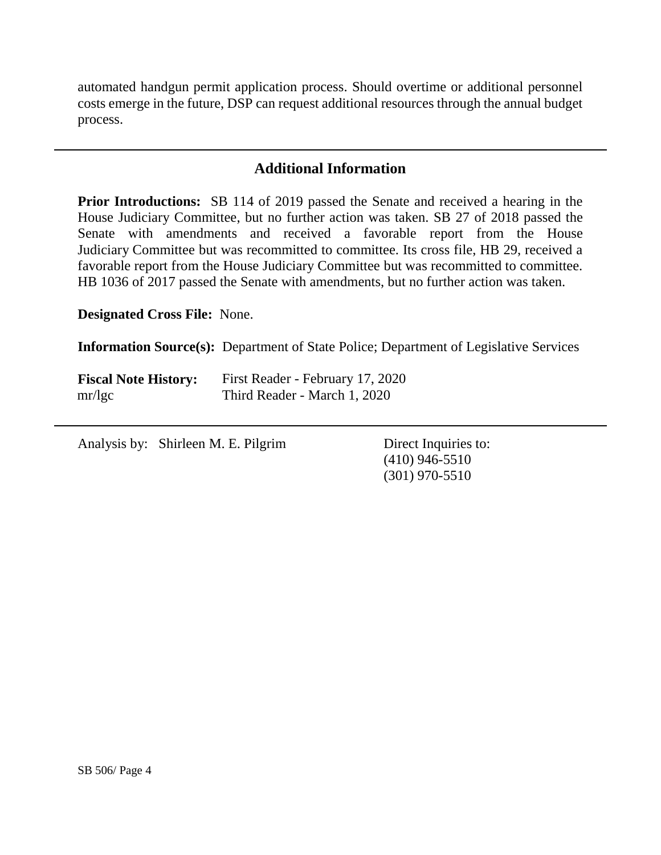automated handgun permit application process. Should overtime or additional personnel costs emerge in the future, DSP can request additional resources through the annual budget process.

## **Additional Information**

**Prior Introductions:** SB 114 of 2019 passed the Senate and received a hearing in the House Judiciary Committee, but no further action was taken. SB 27 of 2018 passed the Senate with amendments and received a favorable report from the House Judiciary Committee but was recommitted to committee. Its cross file, HB 29, received a favorable report from the House Judiciary Committee but was recommitted to committee. HB 1036 of 2017 passed the Senate with amendments, but no further action was taken.

**Designated Cross File:** None.

**Information Source(s):** Department of State Police; Department of Legislative Services

| <b>Fiscal Note History:</b> | First Reader - February 17, 2020 |
|-----------------------------|----------------------------------|
| mr/kgc                      | Third Reader - March 1, 2020     |

Analysis by: Shirleen M. E. Pilgrim Direct Inquiries to:

(410) 946-5510 (301) 970-5510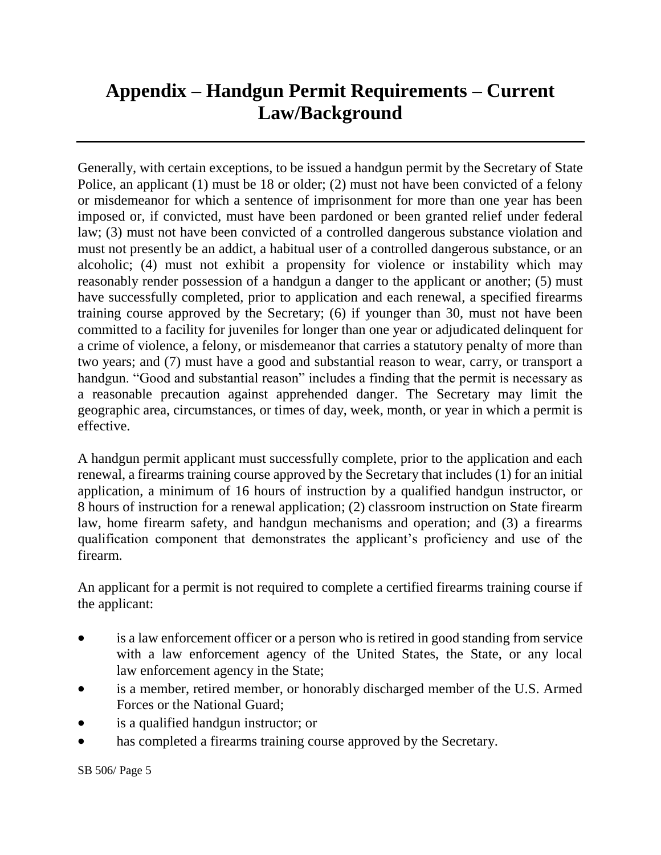# **Appendix – Handgun Permit Requirements – Current Law/Background**

Generally, with certain exceptions, to be issued a handgun permit by the Secretary of State Police, an applicant (1) must be 18 or older; (2) must not have been convicted of a felony or misdemeanor for which a sentence of imprisonment for more than one year has been imposed or, if convicted, must have been pardoned or been granted relief under federal law; (3) must not have been convicted of a controlled dangerous substance violation and must not presently be an addict, a habitual user of a controlled dangerous substance, or an alcoholic; (4) must not exhibit a propensity for violence or instability which may reasonably render possession of a handgun a danger to the applicant or another; (5) must have successfully completed, prior to application and each renewal, a specified firearms training course approved by the Secretary; (6) if younger than 30, must not have been committed to a facility for juveniles for longer than one year or adjudicated delinquent for a crime of violence, a felony, or misdemeanor that carries a statutory penalty of more than two years; and (7) must have a good and substantial reason to wear, carry, or transport a handgun. "Good and substantial reason" includes a finding that the permit is necessary as a reasonable precaution against apprehended danger. The Secretary may limit the geographic area, circumstances, or times of day, week, month, or year in which a permit is effective.

A handgun permit applicant must successfully complete, prior to the application and each renewal, a firearms training course approved by the Secretary that includes (1) for an initial application, a minimum of 16 hours of instruction by a qualified handgun instructor, or 8 hours of instruction for a renewal application; (2) classroom instruction on State firearm law, home firearm safety, and handgun mechanisms and operation; and (3) a firearms qualification component that demonstrates the applicant's proficiency and use of the firearm.

An applicant for a permit is not required to complete a certified firearms training course if the applicant:

- is a law enforcement officer or a person who is retired in good standing from service with a law enforcement agency of the United States, the State, or any local law enforcement agency in the State;
- is a member, retired member, or honorably discharged member of the U.S. Armed Forces or the National Guard;
- is a qualified handgun instructor; or
- has completed a firearms training course approved by the Secretary.